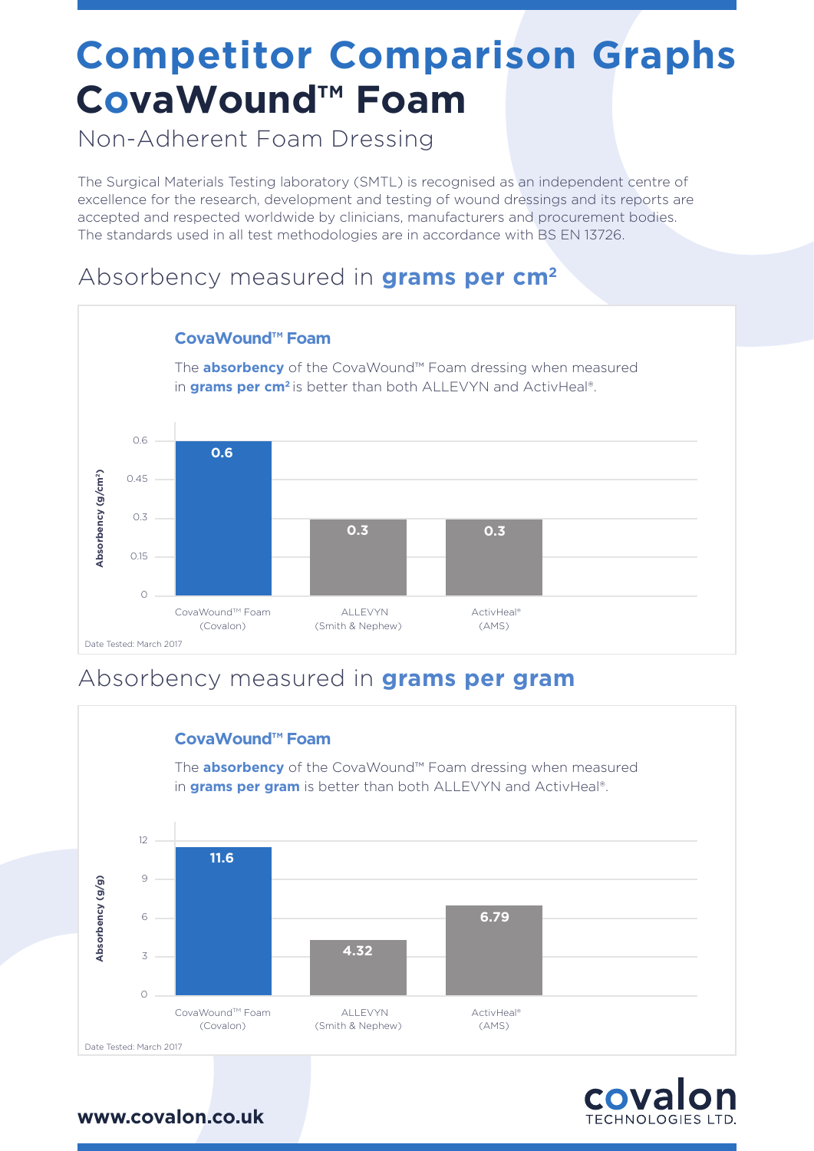## **Competitor Comparison Graphs CovaWound™ Foam**

Non-Adherent Foam Dressing

The Surgical Materials Testing laboratory (SMTL) is recognised as an independent centre of excellence for the research, development and testing of wound dressings and its reports are accepted and respected worldwide by clinicians, manufacturers and procurement bodies. The standards used in all test methodologies are in accordance with BS EN 13726.

### Absorbency measured in **grams per cm2**



### Absorbency measured in **grams per gram**



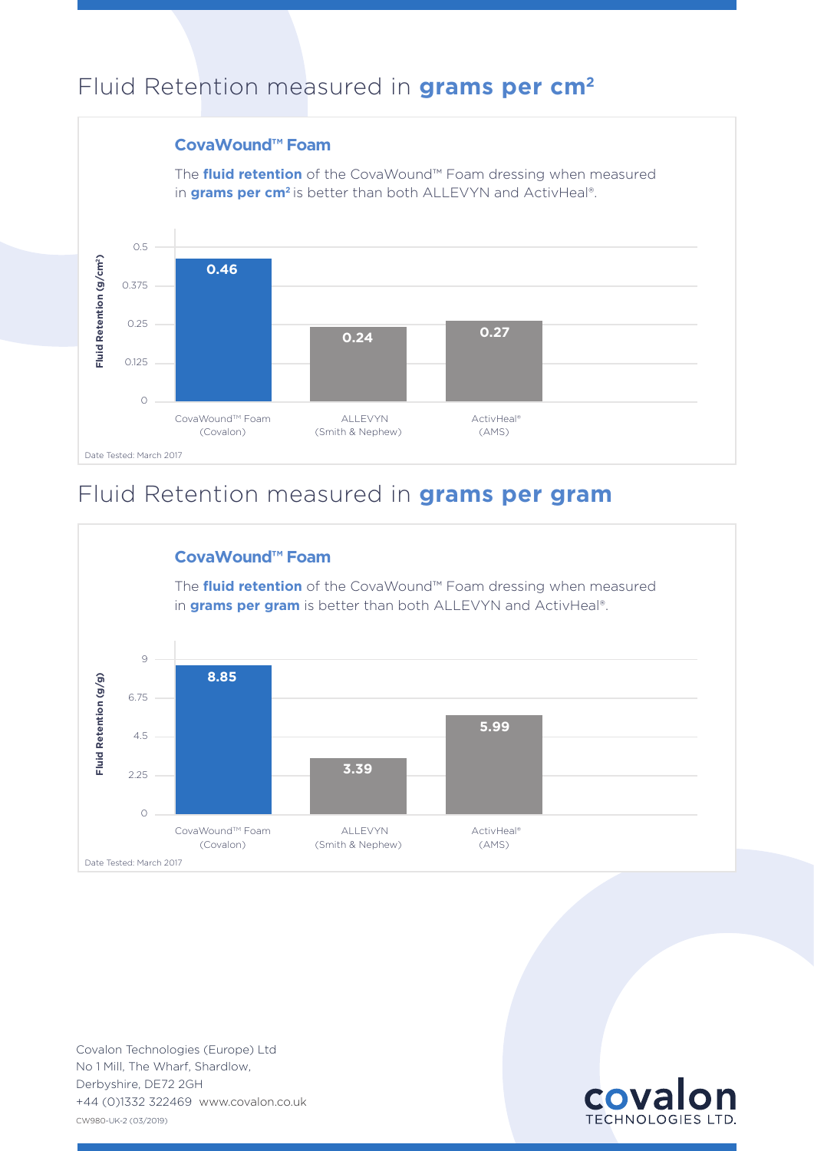### Fluid Retention measured in **grams per cm2**

#### The **fluid retention** of the CovaWound™ Foam dressing when measured **0.46 0.24 0.27** CovaWound™ Foam (Covalon) ALLEVYN (Smith & Nephew) ActivHeal® (AMS) **CovaWound™ Foam** 0.5 0.375 0.25 0.125  $\Omega$  Date Tested: March 2017 in **grams per cm<sup>2</sup>** is better than both ALLEVYN and ActivHeal®.

### Fluid Retention measured in **grams per gram**



CW980-UK-2 (03/2019) No 1 Mill, The Wharf, Shardlow, Derbyshire, DE72 2GH Covalon Technologies (Europe) Ltd

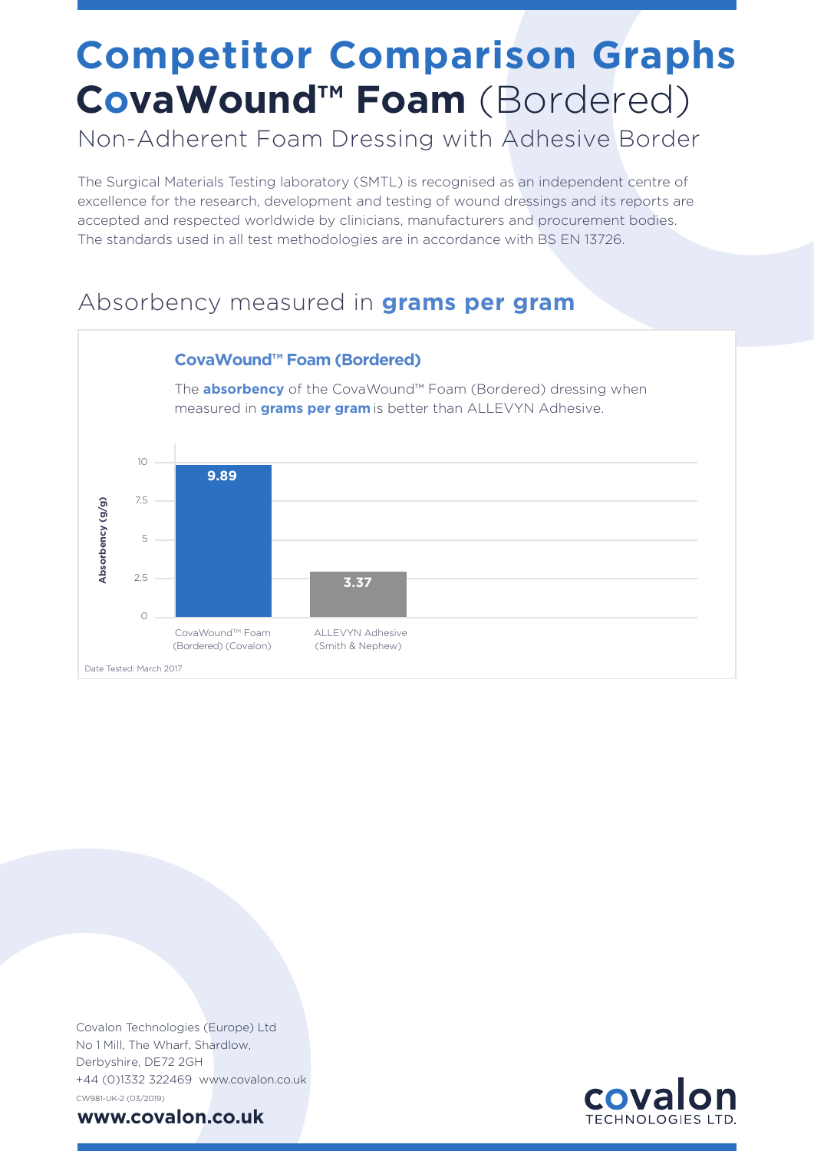## **Competitor Comparison Graphs CovaWound™ Foam** (Bordered)

Non-Adherent Foam Dressing with Adhesive Border

The Surgical Materials Testing laboratory (SMTL) is recognised as an independent centre of excellence for the research, development and testing of wound dressings and its reports are accepted and respected worldwide by clinicians, manufacturers and procurement bodies. The standards used in all test methodologies are in accordance with BS EN 13726.

### Absorbency measured in **grams per gram**



CW981-UK-2 (03/2019) No 1 Mill, The Wharf, Shardlow, Derbyshire, DE72 2GH Covalon Technologies (Europe) Ltd +44 (0)1332 322469 www.covalon.co.uk

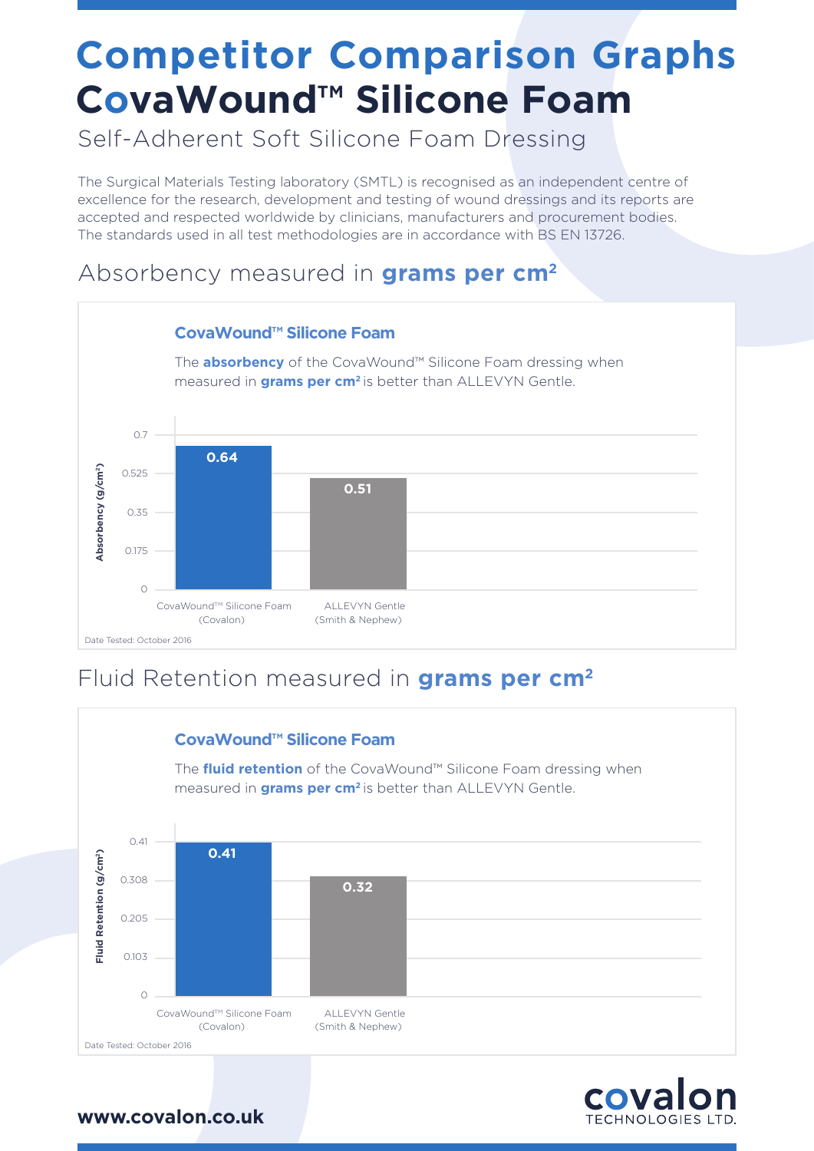## **Competitor Comparison Graphs CovaWound™ Silicone Foam**

Self-Adherent Soft Silicone Foam Dressing

The Surgical Materials Testing laboratory (SMTL) is recognised as an independent centre of excellence for the research, development and testing of wound dressings and its reports are accepted and respected worldwide by clinicians, manufacturers and procurement bodies. The standards used in all test methodologies are in accordance with BS EN 13726.

#### Absorbency measured in **grams per cm2**



### Fluid Retention measured in **grams per cm2**



**COVa** 

**TECHNOLOGIES LTD**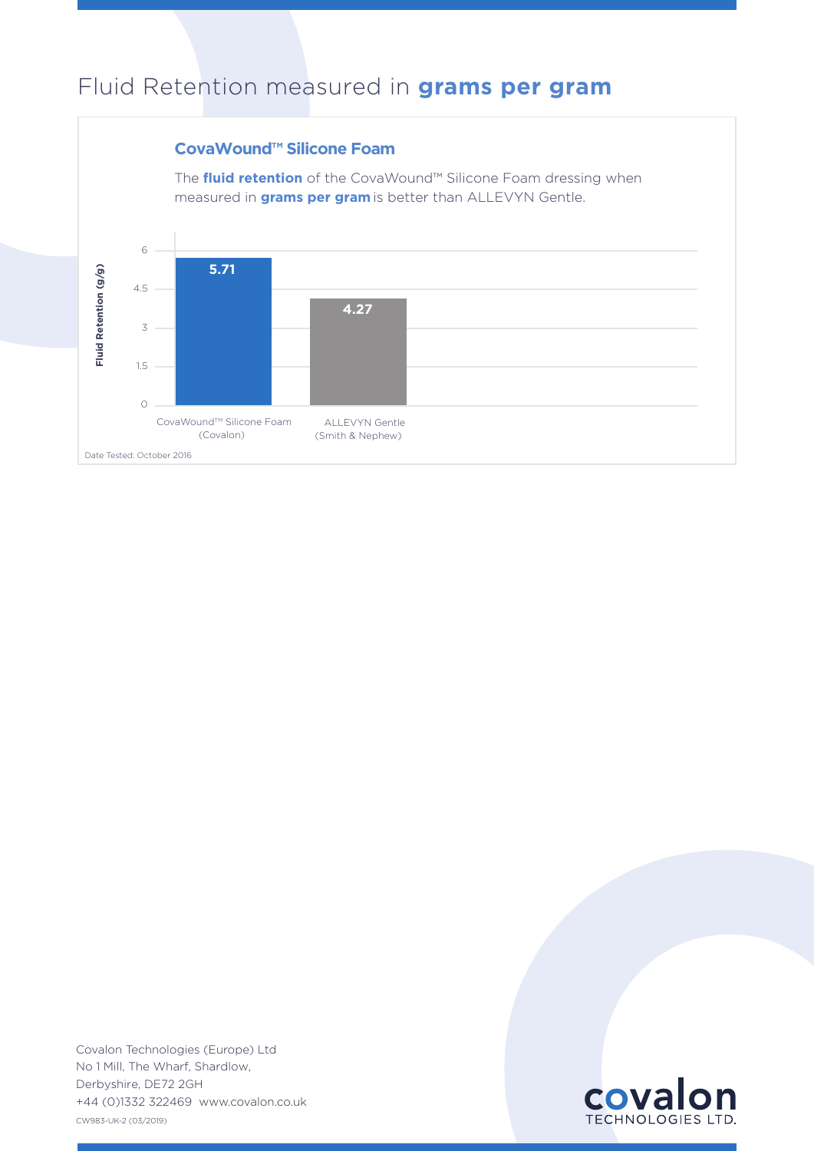### Fluid Retention measured in **grams per gram**



CW983-UK-2 (03/2019) No 1 Mill, The Wharf, Shardlow, Derbyshire, DE72 2GH Covalon Technologies (Europe) Ltd +44 (0)1332 322469 www.covalon.co.uk

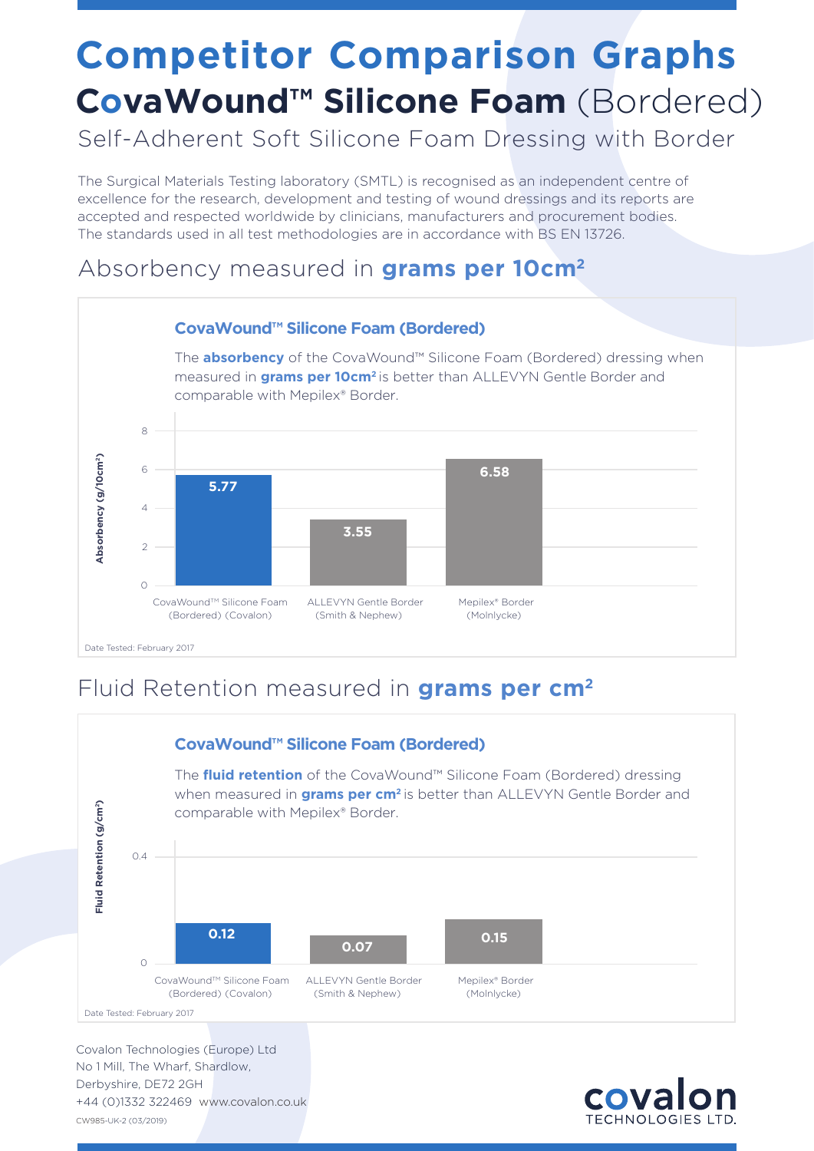## **Competitor Comparison Graphs CovaWound™ Silicone Foam** (Bordered)

Self-Adherent Soft Silicone Foam Dressing with Border

The Surgical Materials Testing laboratory (SMTL) is recognised as an independent centre of excellence for the research, development and testing of wound dressings and its reports are accepted and respected worldwide by clinicians, manufacturers and procurement bodies. The standards used in all test methodologies are in accordance with BS EN 13726.

### Absorbency measured in **grams per 10cm2**



### Fluid Retention measured in **grams per cm2**



CW985-UK-2 (03/2019) No 1 Mill, The Wharf, Shardlow, Derbyshire, DE72 2GH Covalon Technologies (Europe) Ltd +44 (0)1332 322469 www.covalon.co.uk

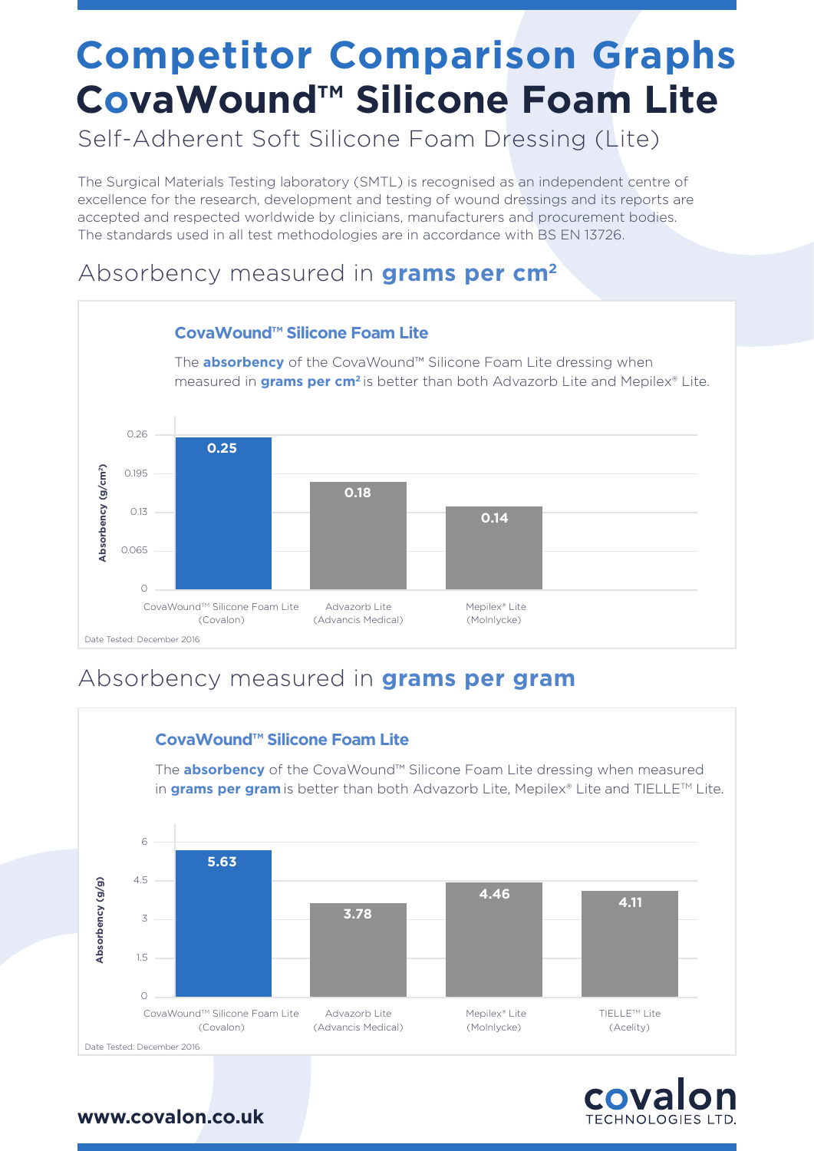## **Competitor Comparison Graphs CovaWound™ Silicone Foam Lite**

Self-Adherent Soft Silicone Foam Dressing (Lite)

The Surgical Materials Testing laboratory (SMTL) is recognised as an independent centre of excellence for the research, development and testing of wound dressings and its reports are accepted and respected worldwide by clinicians, manufacturers and procurement bodies. The standards used in all test methodologies are in accordance with BS EN 13726.

#### Absorbency measured in **grams per cm2**



### Absorbency measured in **grams per gram**



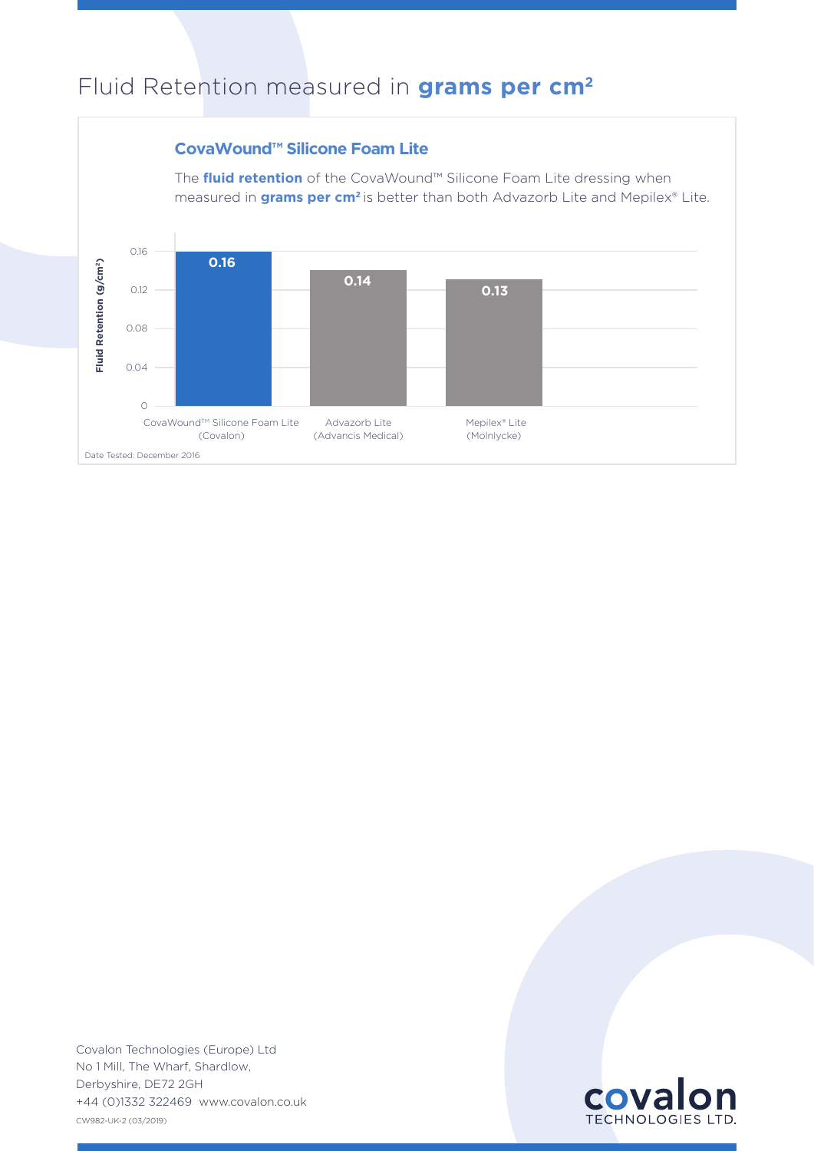### Fluid Retention measured in **grams per cm2**



CW982-UK-2 (03/2019) No 1 Mill, The Wharf, Shardlow, Derbyshire, DE72 2GH Covalon Technologies (Europe) Ltd +44 (0)1332 322469 www.covalon.co.uk

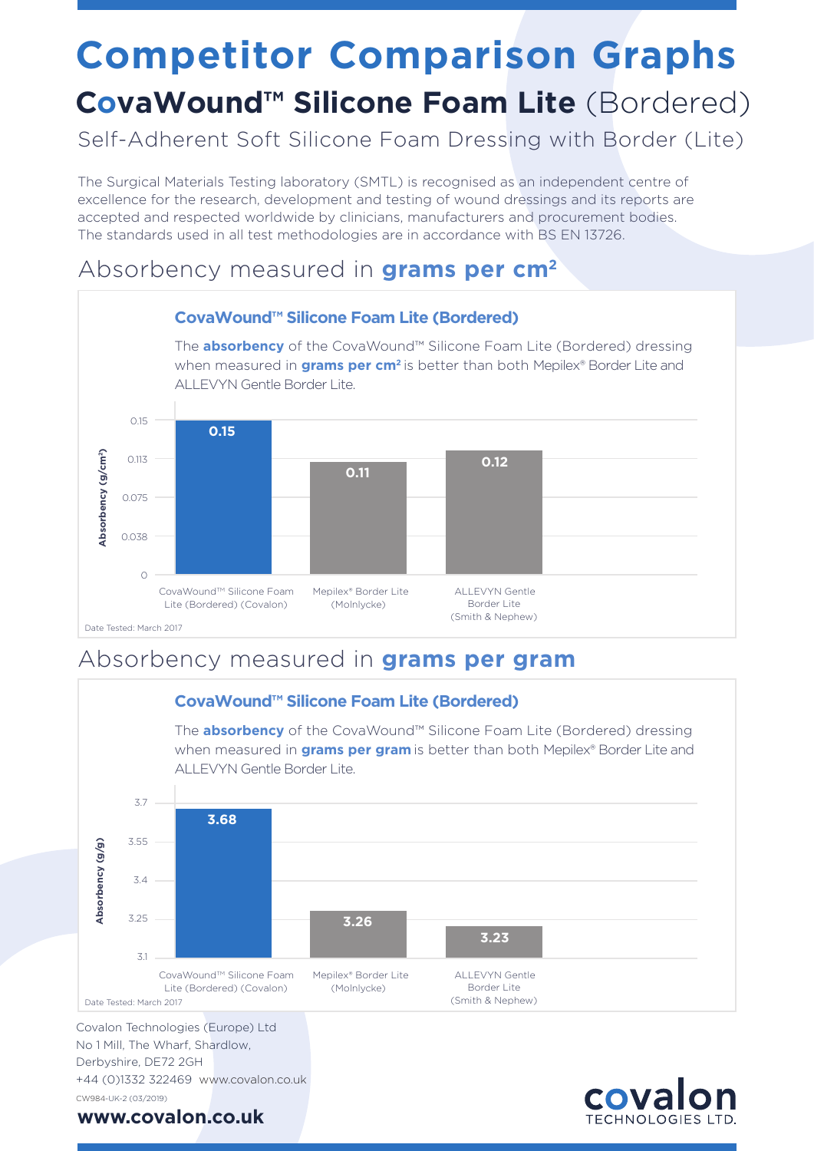# **Competitor Comparison Graphs**

### **CovaWound™ Silicone Foam Lite** (Bordered)

Self-Adherent Soft Silicone Foam Dressing with Border (Lite)

The Surgical Materials Testing laboratory (SMTL) is recognised as an independent centre of excellence for the research, development and testing of wound dressings and its reports are accepted and respected worldwide by clinicians, manufacturers and procurement bodies. The standards used in all test methodologies are in accordance with BS EN 13726.

### Absorbency measured in **grams per cm2**



### Absorbency measured in **grams per gram**



CW984-UK-2 (03/2019) **www.covalon.co.uk**

+44 (0)1332 322469 www.covalon.co.uk

#### cova **ECHNOLOGIES L'**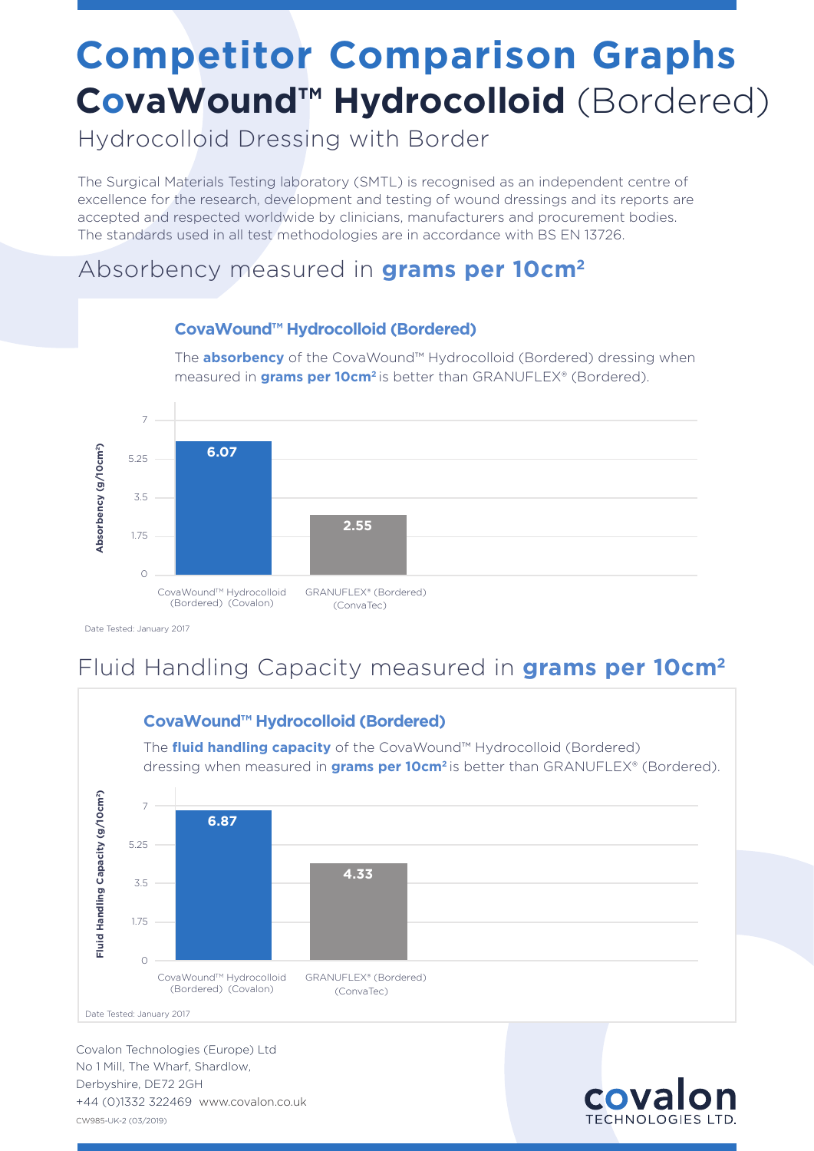## **Competitor Comparison Graphs CovaWound™ Hydrocolloid** (Bordered)

The **absorbency** of the CovaWound™ Hydrocolloid (Bordered) dressing when

Hydrocolloid Dressing with Border

The Surgical Materials Testing laboratory (SMTL) is recognised as an independent centre of excellence for the research, development and testing of wound dressings and its reports are accepted and respected worldwide by clinicians, manufacturers and procurement bodies. The standards used in all test methodologies are in accordance with BS EN 13726.

### Absorbency measured in **grams per 10cm2**



#### **CovaWound™ Hydrocolloid (Bordered)**

Date Tested: January 2017

### Fluid Handling Capacity measured in **grams per 10cm2**



CW985-UK-2 (03/2019) No 1 Mill, The Wharf, Shardlow, Derbyshire, DE72 2GH Covalon Technologies (Europe) Ltd +44 (0)1332 322469 www.covalon.co.uk



#### **CovaWound™ Hydrocolloid (Bordered)**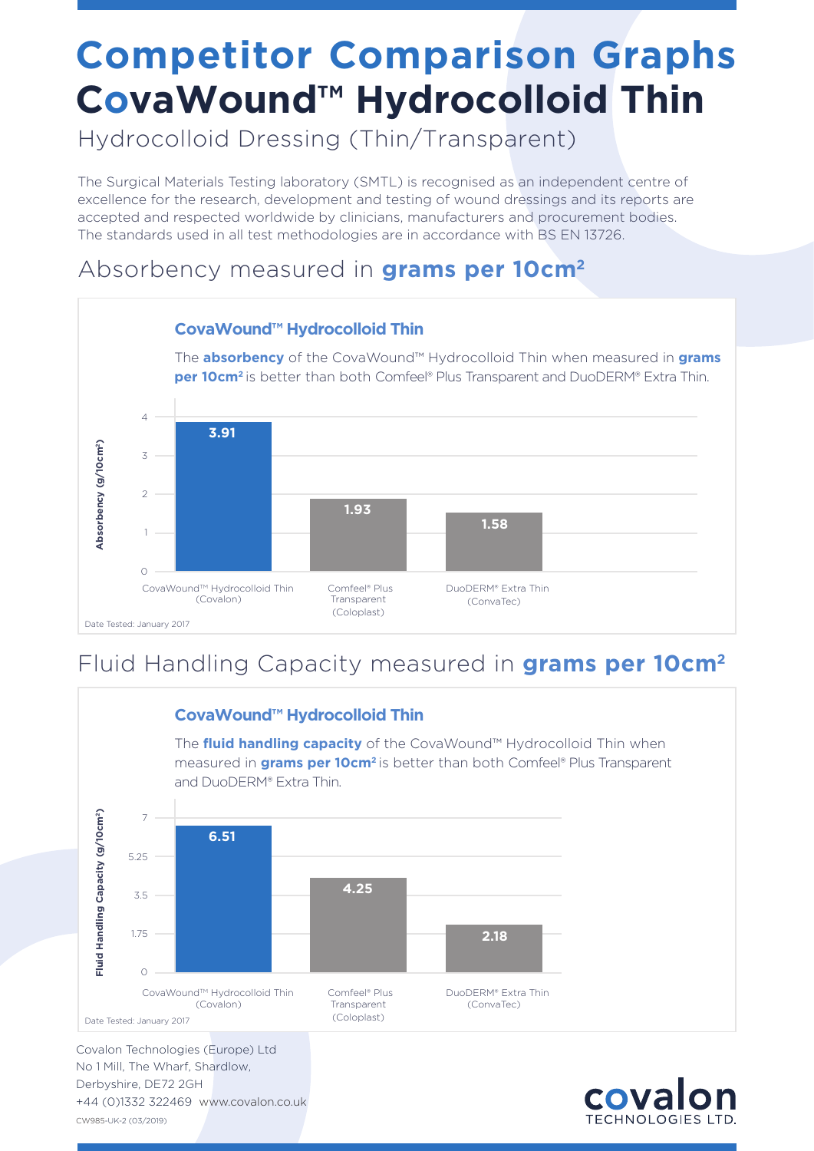## **Competitor Comparison Graphs CovaWound™ Hydrocolloid Thin**

Hydrocolloid Dressing (Thin/Transparent)

The Surgical Materials Testing laboratory (SMTL) is recognised as an independent centre of excellence for the research, development and testing of wound dressings and its reports are accepted and respected worldwide by clinicians, manufacturers and procurement bodies. The standards used in all test methodologies are in accordance with BS EN 13726.

### Absorbency measured in **grams per 10cm2**



### Fluid Handling Capacity measured in **grams per 10cm2**



CW985-UK-2 (03/2019) No 1 Mill, The Wharf, Shardlow, Derbyshire, DE72 2GH +44 (0)1332 322469 www.covalon.co.uk

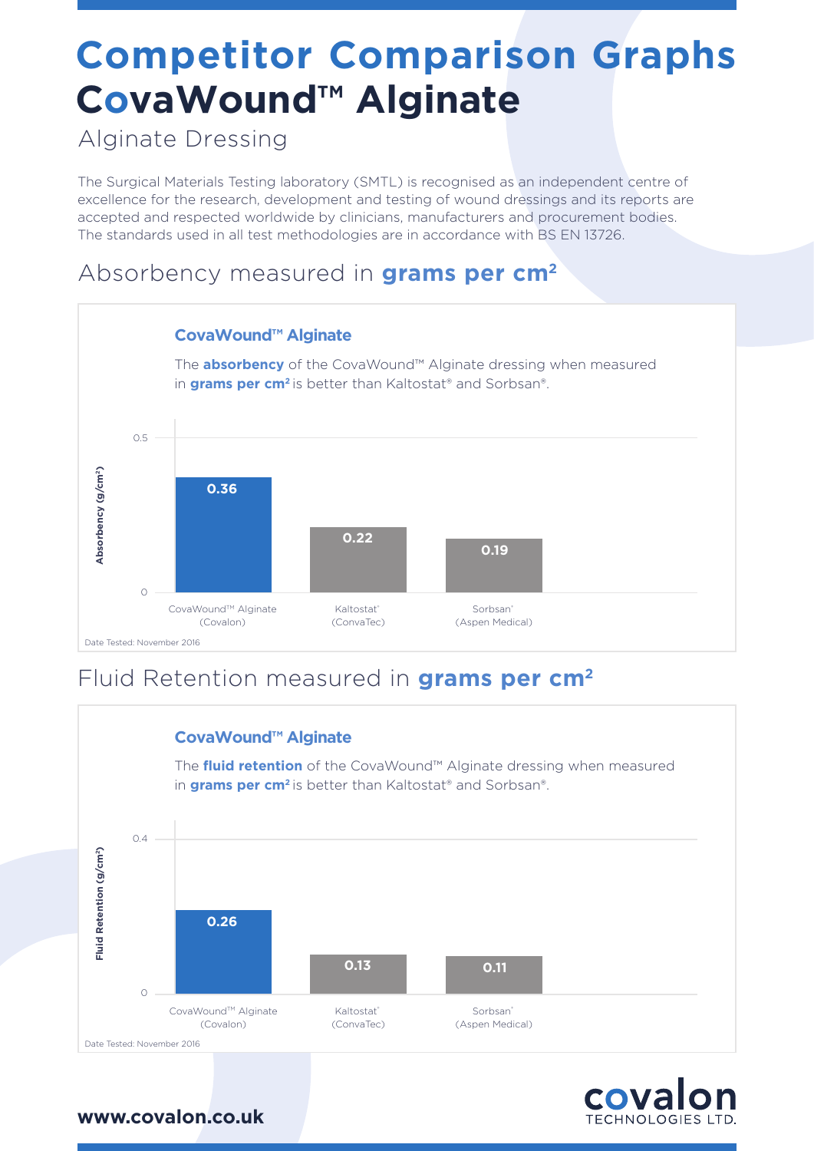## **Competitor Comparison Graphs CovaWound™ Alginate**

Alginate Dressing

The Surgical Materials Testing laboratory (SMTL) is recognised as an independent centre of excellence for the research, development and testing of wound dressings and its reports are accepted and respected worldwide by clinicians, manufacturers and procurement bodies. The standards used in all test methodologies are in accordance with BS EN 13726.

#### Absorbency measured in **grams per cm2**



### Fluid Retention measured in **grams per cm2**



**COVa TECHNOLOGIES LTD**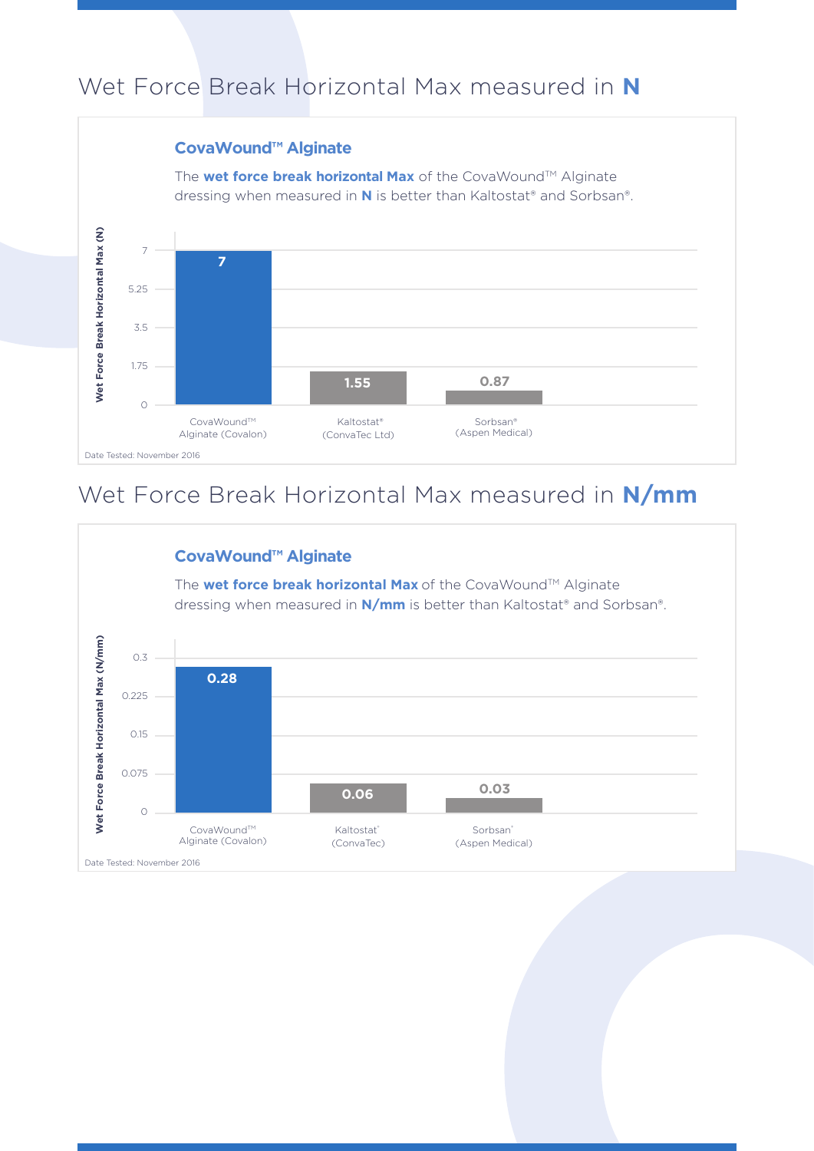### Wet Force Break Horizontal Max measured in **N**

#### **CovaWound™ Alginate**

The **wet force break horizontal Max** of the CovaWound™ Alginate dressing when measured in **N** is better than Kaltostat® and Sorbsan®.



### Wet Force Break Horizontal Max measured in **N/mm**

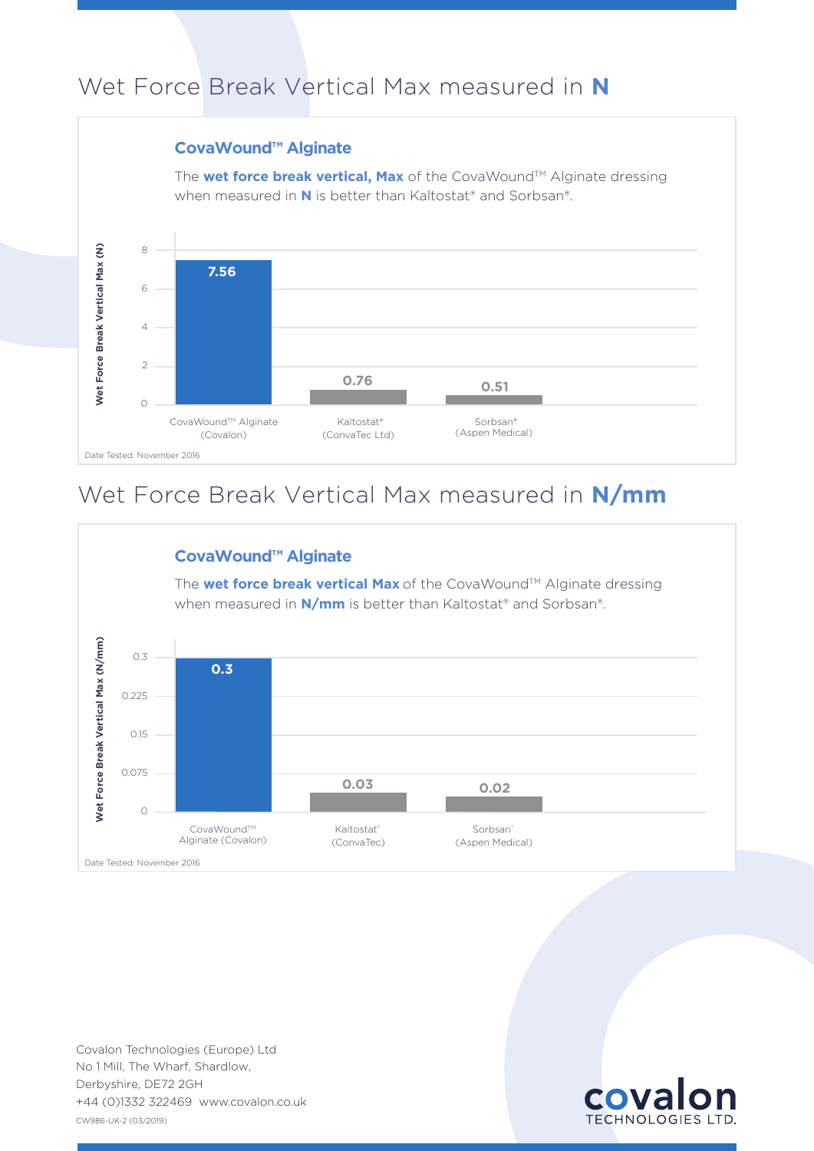### Wet Force Break Vertical Max measured in **N**

#### **CovaWound™ Alginate**

The **wet force break vertical. Max** of the CovaWound™ Alginate dressing when measured in **N** is better than Kaltostat® and Sorbsan®.



### Wet Force Break Vertical Max measured in **N/mm**



CW986-UK-2 (03/2019) No 1 Mill, The Wharf, Shardlow, Derbyshire, DE72 2GH Covalon Technologies (Europe) Ltd +44 (0)1332 322469 www.covalon.co.uk